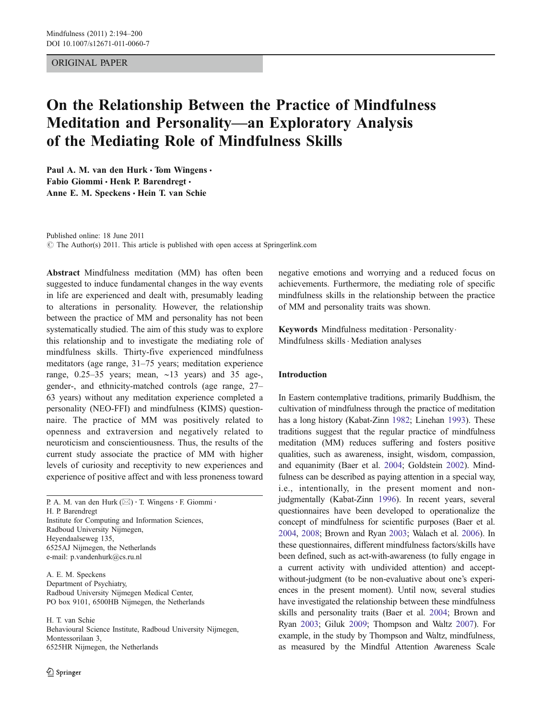## ORIGINAL PAPER

# On the Relationship Between the Practice of Mindfulness Meditation and Personality—an Exploratory Analysis of the Mediating Role of Mindfulness Skills

Paul A. M. van den Hurk · Tom Wingens · Fabio Giommi · Henk P. Barendregt · Anne E. M. Speckens · Hein T. van Schie

Published online: 18 June 2011

 $\odot$  The Author(s) 2011. This article is published with open access at Springerlink.com

Abstract Mindfulness meditation (MM) has often been suggested to induce fundamental changes in the way events in life are experienced and dealt with, presumably leading to alterations in personality. However, the relationship between the practice of MM and personality has not been systematically studied. The aim of this study was to explore this relationship and to investigate the mediating role of mindfulness skills. Thirty-five experienced mindfulness meditators (age range, 31–75 years; meditation experience range, 0.25–35 years; mean, ∼13 years) and 35 age-, gender-, and ethnicity-matched controls (age range, 27– 63 years) without any meditation experience completed a personality (NEO-FFI) and mindfulness (KIMS) questionnaire. The practice of MM was positively related to openness and extraversion and negatively related to neuroticism and conscientiousness. Thus, the results of the current study associate the practice of MM with higher levels of curiosity and receptivity to new experiences and experience of positive affect and with less proneness toward

P. A. M. van den Hurk (⊠) · T. Wingens · F. Giommi · H. P. Barendregt Institute for Computing and Information Sciences, Radboud University Nijmegen, Heyendaalseweg 135, 6525AJ Nijmegen, the Netherlands e-mail: p.vandenhurk@cs.ru.nl

A. E. M. Speckens Department of Psychiatry, Radboud University Nijmegen Medical Center, PO box 9101, 6500HB Nijmegen, the Netherlands

H. T. van Schie Behavioural Science Institute, Radboud University Nijmegen, Montessorilaan 3, 6525HR Nijmegen, the Netherlands

negative emotions and worrying and a reduced focus on achievements. Furthermore, the mediating role of specific mindfulness skills in the relationship between the practice of MM and personality traits was shown.

Keywords Mindfulness meditation . Personality. Mindfulness skills · Mediation analyses

## Introduction

In Eastern contemplative traditions, primarily Buddhism, the cultivation of mindfulness through the practice of meditation has a long history (Kabat-Zinn [1982](#page-6-0); Linehan [1993\)](#page-6-0). These traditions suggest that the regular practice of mindfulness meditation (MM) reduces suffering and fosters positive qualities, such as awareness, insight, wisdom, compassion, and equanimity (Baer et al. [2004;](#page-6-0) Goldstein [2002](#page-6-0)). Mindfulness can be described as paying attention in a special way, i.e., intentionally, in the present moment and nonjudgmentally (Kabat-Zinn [1996](#page-6-0)). In recent years, several questionnaires have been developed to operationalize the concept of mindfulness for scientific purposes (Baer et al. [2004,](#page-6-0) [2008](#page-6-0); Brown and Ryan [2003](#page-6-0); Walach et al. [2006](#page-6-0)). In these questionnaires, different mindfulness factors/skills have been defined, such as act-with-awareness (to fully engage in a current activity with undivided attention) and acceptwithout-judgment (to be non-evaluative about one's experiences in the present moment). Until now, several studies have investigated the relationship between these mindfulness skills and personality traits (Baer et al. [2004;](#page-6-0) Brown and Ryan [2003](#page-6-0); Giluk [2009](#page-6-0); Thompson and Waltz [2007\)](#page-6-0). For example, in the study by Thompson and Waltz, mindfulness, as measured by the Mindful Attention Awareness Scale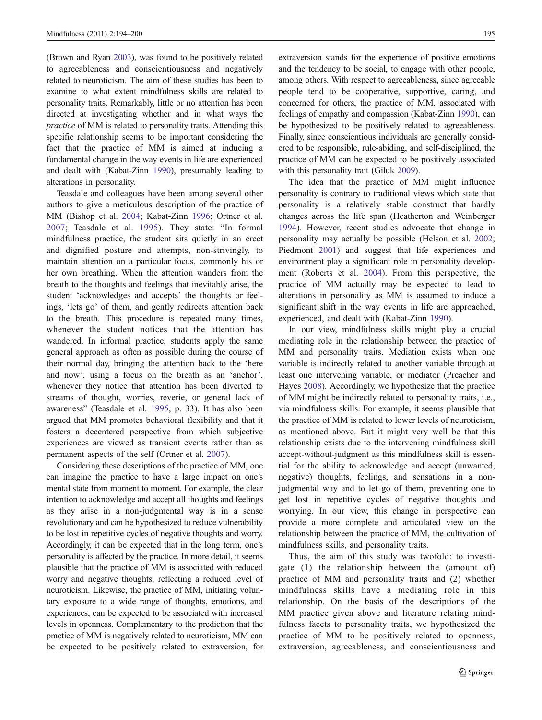(Brown and Ryan [2003](#page-6-0)), was found to be positively related to agreeableness and conscientiousness and negatively related to neuroticism. The aim of these studies has been to examine to what extent mindfulness skills are related to personality traits. Remarkably, little or no attention has been directed at investigating whether and in what ways the practice of MM is related to personality traits. Attending this specific relationship seems to be important considering the fact that the practice of MM is aimed at inducing a fundamental change in the way events in life are experienced and dealt with (Kabat-Zinn [1990\)](#page-6-0), presumably leading to alterations in personality.

Teasdale and colleagues have been among several other authors to give a meticulous description of the practice of MM (Bishop et al. [2004](#page-6-0); Kabat-Zinn [1996](#page-6-0); Ortner et al. [2007;](#page-6-0) Teasdale et al. [1995\)](#page-6-0). They state: "In formal mindfulness practice, the student sits quietly in an erect and dignified posture and attempts, non-strivingly, to maintain attention on a particular focus, commonly his or her own breathing. When the attention wanders from the breath to the thoughts and feelings that inevitably arise, the student 'acknowledges and accepts' the thoughts or feelings, 'lets go' of them, and gently redirects attention back to the breath. This procedure is repeated many times, whenever the student notices that the attention has wandered. In informal practice, students apply the same general approach as often as possible during the course of their normal day, bringing the attention back to the 'here and now', using a focus on the breath as an 'anchor', whenever they notice that attention has been diverted to streams of thought, worries, reverie, or general lack of awareness" (Teasdale et al. [1995,](#page-6-0) p. 33). It has also been argued that MM promotes behavioral flexibility and that it fosters a decentered perspective from which subjective experiences are viewed as transient events rather than as permanent aspects of the self (Ortner et al. [2007](#page-6-0)).

Considering these descriptions of the practice of MM, one can imagine the practice to have a large impact on one's mental state from moment to moment. For example, the clear intention to acknowledge and accept all thoughts and feelings as they arise in a non-judgmental way is in a sense revolutionary and can be hypothesized to reduce vulnerability to be lost in repetitive cycles of negative thoughts and worry. Accordingly, it can be expected that in the long term, one's personality is affected by the practice. In more detail, it seems plausible that the practice of MM is associated with reduced worry and negative thoughts, reflecting a reduced level of neuroticism. Likewise, the practice of MM, initiating voluntary exposure to a wide range of thoughts, emotions, and experiences, can be expected to be associated with increased levels in openness. Complementary to the prediction that the practice of MM is negatively related to neuroticism, MM can be expected to be positively related to extraversion, for

extraversion stands for the experience of positive emotions and the tendency to be social, to engage with other people, among others. With respect to agreeableness, since agreeable people tend to be cooperative, supportive, caring, and concerned for others, the practice of MM, associated with feelings of empathy and compassion (Kabat-Zinn [1990\)](#page-6-0), can be hypothesized to be positively related to agreeableness. Finally, since conscientious individuals are generally considered to be responsible, rule-abiding, and self-disciplined, the practice of MM can be expected to be positively associated with this personality trait (Giluk [2009](#page-6-0)).

The idea that the practice of MM might influence personality is contrary to traditional views which state that personality is a relatively stable construct that hardly changes across the life span (Heatherton and Weinberger [1994](#page-6-0)). However, recent studies advocate that change in personality may actually be possible (Helson et al. [2002;](#page-6-0) Piedmont [2001](#page-6-0)) and suggest that life experiences and environment play a significant role in personality development (Roberts et al. [2004\)](#page-6-0). From this perspective, the practice of MM actually may be expected to lead to alterations in personality as MM is assumed to induce a significant shift in the way events in life are approached, experienced, and dealt with (Kabat-Zinn [1990\)](#page-6-0).

In our view, mindfulness skills might play a crucial mediating role in the relationship between the practice of MM and personality traits. Mediation exists when one variable is indirectly related to another variable through at least one intervening variable, or mediator (Preacher and Hayes [2008\)](#page-6-0). Accordingly, we hypothesize that the practice of MM might be indirectly related to personality traits, i.e., via mindfulness skills. For example, it seems plausible that the practice of MM is related to lower levels of neuroticism, as mentioned above. But it might very well be that this relationship exists due to the intervening mindfulness skill accept-without-judgment as this mindfulness skill is essential for the ability to acknowledge and accept (unwanted, negative) thoughts, feelings, and sensations in a nonjudgmental way and to let go of them, preventing one to get lost in repetitive cycles of negative thoughts and worrying. In our view, this change in perspective can provide a more complete and articulated view on the relationship between the practice of MM, the cultivation of mindfulness skills, and personality traits.

Thus, the aim of this study was twofold: to investigate (1) the relationship between the (amount of) practice of MM and personality traits and (2) whether mindfulness skills have a mediating role in this relationship. On the basis of the descriptions of the MM practice given above and literature relating mindfulness facets to personality traits, we hypothesized the practice of MM to be positively related to openness, extraversion, agreeableness, and conscientiousness and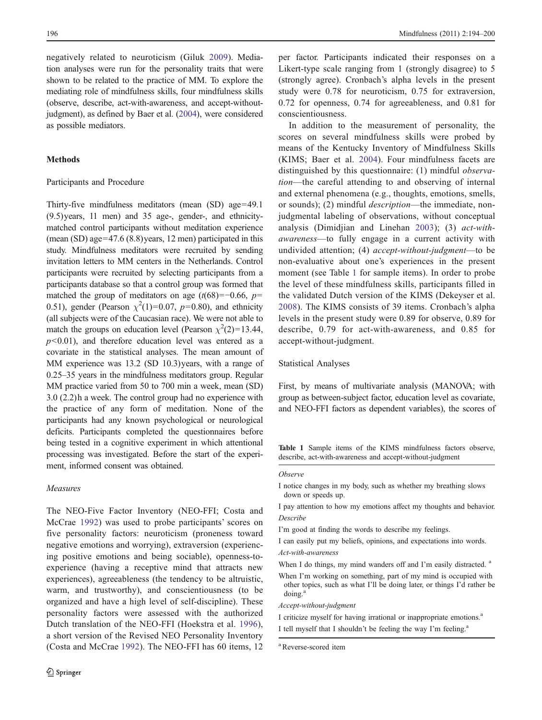<span id="page-2-0"></span>negatively related to neuroticism (Giluk [2009\)](#page-6-0). Mediation analyses were run for the personality traits that were shown to be related to the practice of MM. To explore the mediating role of mindfulness skills, four mindfulness skills (observe, describe, act-with-awareness, and accept-withoutjudgment), as defined by Baer et al. ([2004](#page-6-0)), were considered as possible mediators.

## Methods

### Participants and Procedure

Thirty-five mindfulness meditators (mean (SD) age=49.1 (9.5)years, 11 men) and 35 age-, gender-, and ethnicitymatched control participants without meditation experience (mean (SD) age=47.6 (8.8)years, 12 men) participated in this study. Mindfulness meditators were recruited by sending invitation letters to MM centers in the Netherlands. Control participants were recruited by selecting participants from a participants database so that a control group was formed that matched the group of meditators on age  $(t(68)=-0.66, p=$ 0.51), gender (Pearson  $\chi^2(1)=0.07$ ,  $p=0.80$ ), and ethnicity (all subjects were of the Caucasian race). We were not able to match the groups on education level (Pearson  $\chi^2(2)=13.44$ ,  $p$ <0.01), and therefore education level was entered as a covariate in the statistical analyses. The mean amount of MM experience was 13.2 (SD 10.3) years, with a range of 0.25–35 years in the mindfulness meditators group. Regular MM practice varied from 50 to 700 min a week, mean (SD) 3.0 (2.2)h a week. The control group had no experience with the practice of any form of meditation. None of the participants had any known psychological or neurological deficits. Participants completed the questionnaires before being tested in a cognitive experiment in which attentional processing was investigated. Before the start of the experiment, informed consent was obtained.

#### Measures

The NEO-Five Factor Inventory (NEO-FFI; Costa and McCrae [1992](#page-6-0)) was used to probe participants' scores on five personality factors: neuroticism (proneness toward negative emotions and worrying), extraversion (experiencing positive emotions and being sociable), openness-toexperience (having a receptive mind that attracts new experiences), agreeableness (the tendency to be altruistic, warm, and trustworthy), and conscientiousness (to be organized and have a high level of self-discipline). These personality factors were assessed with the authorized Dutch translation of the NEO-FFI (Hoekstra et al. [1996](#page-6-0)), a short version of the Revised NEO Personality Inventory (Costa and McCrae [1992](#page-6-0)). The NEO-FFI has 60 items, 12 per factor. Participants indicated their responses on a Likert-type scale ranging from 1 (strongly disagree) to 5 (strongly agree). Cronbach's alpha levels in the present study were 0.78 for neuroticism, 0.75 for extraversion, 0.72 for openness, 0.74 for agreeableness, and 0.81 for conscientiousness.

In addition to the measurement of personality, the scores on several mindfulness skills were probed by means of the Kentucky Inventory of Mindfulness Skills (KIMS; Baer et al. [2004](#page-6-0)). Four mindfulness facets are distinguished by this questionnaire: (1) mindful observation—the careful attending to and observing of internal and external phenomena (e.g., thoughts, emotions, smells, or sounds); (2) mindful description—the immediate, nonjudgmental labeling of observations, without conceptual analysis (Dimidjian and Linehan [2003](#page-6-0)); (3) act-withawareness—to fully engage in a current activity with undivided attention; (4) accept-without-judgment—to be non-evaluative about one's experiences in the present moment (see Table 1 for sample items). In order to probe the level of these mindfulness skills, participants filled in the validated Dutch version of the KIMS (Dekeyser et al. [2008\)](#page-6-0). The KIMS consists of 39 items. Cronbach's alpha levels in the present study were 0.89 for observe, 0.89 for describe, 0.79 for act-with-awareness, and 0.85 for accept-without-judgment.

#### Statistical Analyses

First, by means of multivariate analysis (MANOVA; with group as between-subject factor, education level as covariate, and NEO-FFI factors as dependent variables), the scores of

Table 1 Sample items of the KIMS mindfulness factors observe, describe, act-with-awareness and accept-without-judgment

#### Observe

- I notice changes in my body, such as whether my breathing slows down or speeds up.
- I pay attention to how my emotions affect my thoughts and behavior. Describe
- I'm good at finding the words to describe my feelings.

I can easily put my beliefs, opinions, and expectations into words. Act-with-awareness

When I do things, my mind wanders off and I'm easily distracted.<sup>a</sup>

When I'm working on something, part of my mind is occupied with other topics, such as what I'll be doing later, or things I'd rather be doing.<sup>a</sup>

Accept-without-judgment

I criticize myself for having irrational or inappropriate emotions.<sup>a</sup> I tell myself that I shouldn't be feeling the way I'm feeling.<sup>a</sup>

<sup>&</sup>lt;sup>a</sup>Reverse-scored item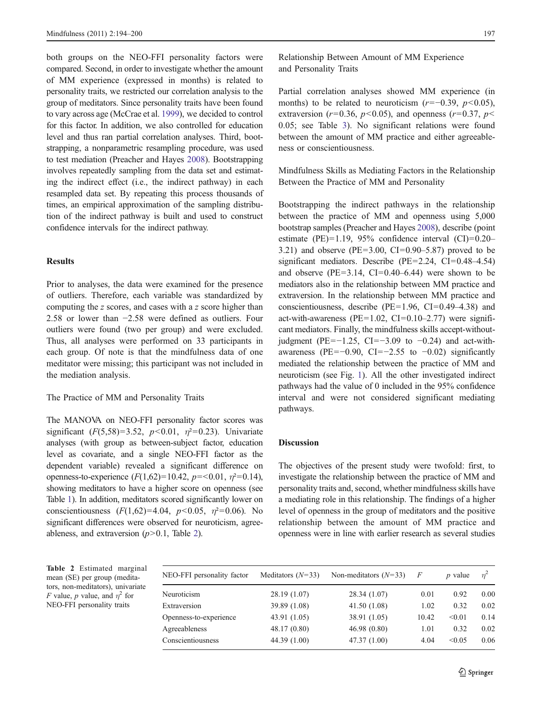both groups on the NEO-FFI personality factors were compared. Second, in order to investigate whether the amount of MM experience (expressed in months) is related to personality traits, we restricted our correlation analysis to the group of meditators. Since personality traits have been found to vary across age (McCrae et al. [1999](#page-6-0)), we decided to control for this factor. In addition, we also controlled for education level and thus ran partial correlation analyses. Third, bootstrapping, a nonparametric resampling procedure, was used to test mediation (Preacher and Hayes [2008](#page-6-0)). Bootstrapping involves repeatedly sampling from the data set and estimating the indirect effect (i.e., the indirect pathway) in each resampled data set. By repeating this process thousands of times, an empirical approximation of the sampling distribution of the indirect pathway is built and used to construct confidence intervals for the indirect pathway.

## Results

Prior to analyses, the data were examined for the presence of outliers. Therefore, each variable was standardized by computing the z scores, and cases with a z score higher than 2.58 or lower than −2.58 were defined as outliers. Four outliers were found (two per group) and were excluded. Thus, all analyses were performed on 33 participants in each group. Of note is that the mindfulness data of one meditator were missing; this participant was not included in the mediation analysis.

#### The Practice of MM and Personality Traits

The MANOVA on NEO-FFI personality factor scores was significant  $(F(5,58)=3.52, p<0.01, \eta^2=0.23)$ . Univariate analyses (with group as between-subject factor, education level as covariate, and a single NEO-FFI factor as the dependent variable) revealed a significant difference on openness-to-experience  $(F(1,62)=10.42, p=<0.01, \eta^2=0.14)$ , showing meditators to have a higher score on openness (see Table [1\)](#page-2-0). In addition, meditators scored significantly lower on conscientiousness  $(F(1,62)=4.04, p<0.05, \eta^2=0.06)$ . No significant differences were observed for neuroticism, agreeableness, and extraversion  $(p>0.1,$  Table 2).

Relationship Between Amount of MM Experience and Personality Traits

Partial correlation analyses showed MM experience (in months) to be related to neuroticism  $(r=-0.39, p<0.05)$ , extraversion ( $r=0.36$ ,  $p<0.05$ ), and openness ( $r=0.37$ ,  $p<$ 0.05; see Table [3](#page-4-0)). No significant relations were found between the amount of MM practice and either agreeableness or conscientiousness.

Mindfulness Skills as Mediating Factors in the Relationship Between the Practice of MM and Personality

Bootstrapping the indirect pathways in the relationship between the practice of MM and openness using 5,000 bootstrap samples (Preacher and Hayes [2008](#page-6-0)), describe (point estimate (PE)=1.19, 95% confidence interval (CI)=0.20– 3.21) and observe (PE=3.00, CI=0.90–5.87) proved to be significant mediators. Describe (PE=2.24, CI=0.48–4.54) and observe ( $PE=3.14$ ,  $CI=0.40-6.44$ ) were shown to be mediators also in the relationship between MM practice and extraversion. In the relationship between MM practice and conscientiousness, describe (PE=1.96, CI=0.49–4.38) and act-with-awareness (PE=1.02, CI=0.10–2.77) were significant mediators. Finally, the mindfulness skills accept-withoutjudgment (PE= $-1.25$ , CI= $-3.09$  to  $-0.24$ ) and act-withawareness (PE= $-0.90$ , CI= $-2.55$  to  $-0.02$ ) significantly mediated the relationship between the practice of MM and neuroticism (see Fig. [1](#page-4-0)). All the other investigated indirect pathways had the value of 0 included in the 95% confidence interval and were not considered significant mediating pathways.

#### Discussion

The objectives of the present study were twofold: first, to investigate the relationship between the practice of MM and personality traits and, second, whether mindfulness skills have a mediating role in this relationship. The findings of a higher level of openness in the group of meditators and the positive relationship between the amount of MM practice and openness were in line with earlier research as several studies

Table 2 Estimated marginal mean (SE) per group (meditators, non-meditators), univariate F value, p value, and  $\eta^2$  for NEO-FFI personality traits

| Meditators $(N=33)$ | Non-meditators $(N=33)$ | $\overline{F}$ | $\n  p \n  value\n$ | $n^2$ |  |
|---------------------|-------------------------|----------------|---------------------|-------|--|
| 28.19 (1.07)        | 28.34 (1.07)            | 0.01           | 0.92                | 0.00  |  |
| 39.89 (1.08)        | 41.50 (1.08)            | 1.02           | 0.32                | 0.02  |  |
| 43.91(1.05)         | 38.91 (1.05)            | 10.42          | < 0.01              | 0.14  |  |
| 48.17 (0.80)        | 46.98(0.80)             | 1.01           | 0.32                | 0.02  |  |
| 44.39 (1.00)        | 47.37(1.00)             | 4.04           | < 0.05              | 0.06  |  |
|                     |                         |                |                     |       |  |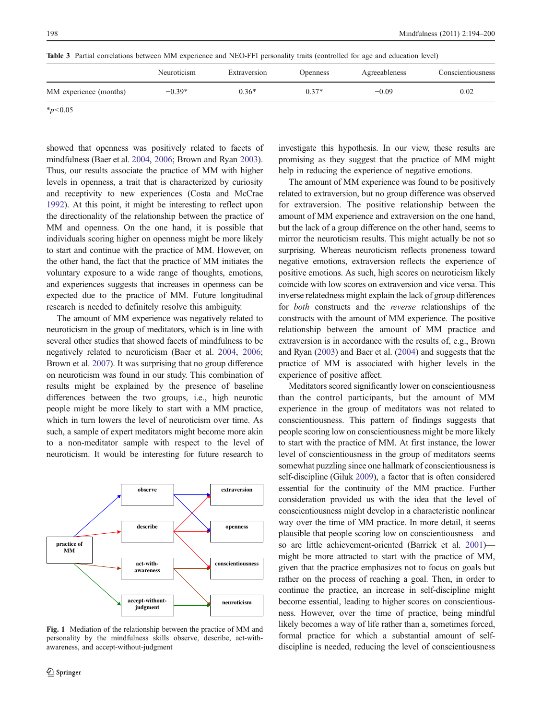<span id="page-4-0"></span>Table 3 Partial correlations between MM experience and NEO-FFI personality traits (controlled for age and education level)

|                        | Neuroticism | Extraversion | <b>Openness</b> | Agreeableness | Conscientiousness |
|------------------------|-------------|--------------|-----------------|---------------|-------------------|
| MM experience (months) | $-0.39*$    | $0.36*$      | $0.37*$         | $-0.09$       | 0.02              |
| $*_{p<0.05}$           |             |              |                 |               |                   |

showed that openness was positively related to facets of mindfulness (Baer et al. [2004](#page-6-0), [2006](#page-6-0); Brown and Ryan [2003\)](#page-6-0). Thus, our results associate the practice of MM with higher levels in openness, a trait that is characterized by curiosity and receptivity to new experiences (Costa and McCrae [1992\)](#page-6-0). At this point, it might be interesting to reflect upon the directionality of the relationship between the practice of MM and openness. On the one hand, it is possible that individuals scoring higher on openness might be more likely to start and continue with the practice of MM. However, on the other hand, the fact that the practice of MM initiates the voluntary exposure to a wide range of thoughts, emotions, and experiences suggests that increases in openness can be expected due to the practice of MM. Future longitudinal research is needed to definitely resolve this ambiguity.

The amount of MM experience was negatively related to neuroticism in the group of meditators, which is in line with several other studies that showed facets of mindfulness to be negatively related to neuroticism (Baer et al. [2004](#page-6-0), [2006](#page-6-0); Brown et al. [2007\)](#page-6-0). It was surprising that no group difference on neuroticism was found in our study. This combination of results might be explained by the presence of baseline differences between the two groups, i.e., high neurotic people might be more likely to start with a MM practice, which in turn lowers the level of neuroticism over time. As such, a sample of expert meditators might become more akin to a non-meditator sample with respect to the level of neuroticism. It would be interesting for future research to



Fig. 1 Mediation of the relationship between the practice of MM and personality by the mindfulness skills observe, describe, act-withawareness, and accept-without-judgment

investigate this hypothesis. In our view, these results are promising as they suggest that the practice of MM might help in reducing the experience of negative emotions.

The amount of MM experience was found to be positively related to extraversion, but no group difference was observed for extraversion. The positive relationship between the amount of MM experience and extraversion on the one hand, but the lack of a group difference on the other hand, seems to mirror the neuroticism results. This might actually be not so surprising. Whereas neuroticism reflects proneness toward negative emotions, extraversion reflects the experience of positive emotions. As such, high scores on neuroticism likely coincide with low scores on extraversion and vice versa. This inverse relatedness might explain the lack of group differences for both constructs and the reverse relationships of the constructs with the amount of MM experience. The positive relationship between the amount of MM practice and extraversion is in accordance with the results of, e.g., Brown and Ryan ([2003](#page-6-0)) and Baer et al. [\(2004\)](#page-6-0) and suggests that the practice of MM is associated with higher levels in the experience of positive affect.

Meditators scored significantly lower on conscientiousness than the control participants, but the amount of MM experience in the group of meditators was not related to conscientiousness. This pattern of findings suggests that people scoring low on conscientiousness might be more likely to start with the practice of MM. At first instance, the lower level of conscientiousness in the group of meditators seems somewhat puzzling since one hallmark of conscientiousness is self-discipline (Giluk [2009](#page-6-0)), a factor that is often considered essential for the continuity of the MM practice. Further consideration provided us with the idea that the level of conscientiousness might develop in a characteristic nonlinear way over the time of MM practice. In more detail, it seems plausible that people scoring low on conscientiousness—and so are little achievement-oriented (Barrick et al. [2001](#page-6-0)) might be more attracted to start with the practice of MM, given that the practice emphasizes not to focus on goals but rather on the process of reaching a goal. Then, in order to continue the practice, an increase in self-discipline might become essential, leading to higher scores on conscientiousness. However, over the time of practice, being mindful likely becomes a way of life rather than a, sometimes forced, formal practice for which a substantial amount of selfdiscipline is needed, reducing the level of conscientiousness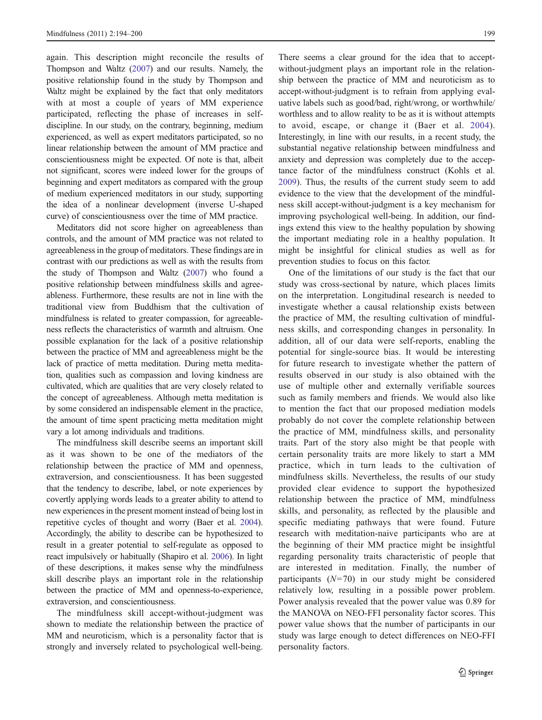again. This description might reconcile the results of Thompson and Waltz [\(2007\)](#page-6-0) and our results. Namely, the positive relationship found in the study by Thompson and Waltz might be explained by the fact that only meditators with at most a couple of years of MM experience participated, reflecting the phase of increases in selfdiscipline. In our study, on the contrary, beginning, medium experienced, as well as expert meditators participated, so no linear relationship between the amount of MM practice and conscientiousness might be expected. Of note is that, albeit not significant, scores were indeed lower for the groups of beginning and expert meditators as compared with the group of medium experienced meditators in our study, supporting the idea of a nonlinear development (inverse U-shaped curve) of conscientiousness over the time of MM practice.

Meditators did not score higher on agreeableness than controls, and the amount of MM practice was not related to agreeableness in the group of meditators. These findings are in contrast with our predictions as well as with the results from the study of Thompson and Waltz ([2007](#page-6-0)) who found a positive relationship between mindfulness skills and agreeableness. Furthermore, these results are not in line with the traditional view from Buddhism that the cultivation of mindfulness is related to greater compassion, for agreeableness reflects the characteristics of warmth and altruism. One possible explanation for the lack of a positive relationship between the practice of MM and agreeableness might be the lack of practice of metta meditation. During metta meditation, qualities such as compassion and loving kindness are cultivated, which are qualities that are very closely related to the concept of agreeableness. Although metta meditation is by some considered an indispensable element in the practice, the amount of time spent practicing metta meditation might vary a lot among individuals and traditions.

The mindfulness skill describe seems an important skill as it was shown to be one of the mediators of the relationship between the practice of MM and openness, extraversion, and conscientiousness. It has been suggested that the tendency to describe, label, or note experiences by covertly applying words leads to a greater ability to attend to new experiences in the present moment instead of being lost in repetitive cycles of thought and worry (Baer et al. [2004\)](#page-6-0). Accordingly, the ability to describe can be hypothesized to result in a greater potential to self-regulate as opposed to react impulsively or habitually (Shapiro et al. [2006\)](#page-6-0). In light of these descriptions, it makes sense why the mindfulness skill describe plays an important role in the relationship between the practice of MM and openness-to-experience, extraversion, and conscientiousness.

The mindfulness skill accept-without-judgment was shown to mediate the relationship between the practice of MM and neuroticism, which is a personality factor that is strongly and inversely related to psychological well-being.

There seems a clear ground for the idea that to acceptwithout-judgment plays an important role in the relationship between the practice of MM and neuroticism as to accept-without-judgment is to refrain from applying evaluative labels such as good/bad, right/wrong, or worthwhile/ worthless and to allow reality to be as it is without attempts to avoid, escape, or change it (Baer et al. [2004](#page-6-0)). Interestingly, in line with our results, in a recent study, the substantial negative relationship between mindfulness and anxiety and depression was completely due to the acceptance factor of the mindfulness construct (Kohls et al. [2009](#page-6-0)). Thus, the results of the current study seem to add evidence to the view that the development of the mindfulness skill accept-without-judgment is a key mechanism for improving psychological well-being. In addition, our findings extend this view to the healthy population by showing the important mediating role in a healthy population. It might be insightful for clinical studies as well as for prevention studies to focus on this factor.

One of the limitations of our study is the fact that our study was cross-sectional by nature, which places limits on the interpretation. Longitudinal research is needed to investigate whether a causal relationship exists between the practice of MM, the resulting cultivation of mindfulness skills, and corresponding changes in personality. In addition, all of our data were self-reports, enabling the potential for single-source bias. It would be interesting for future research to investigate whether the pattern of results observed in our study is also obtained with the use of multiple other and externally verifiable sources such as family members and friends. We would also like to mention the fact that our proposed mediation models probably do not cover the complete relationship between the practice of MM, mindfulness skills, and personality traits. Part of the story also might be that people with certain personality traits are more likely to start a MM practice, which in turn leads to the cultivation of mindfulness skills. Nevertheless, the results of our study provided clear evidence to support the hypothesized relationship between the practice of MM, mindfulness skills, and personality, as reflected by the plausible and specific mediating pathways that were found. Future research with meditation-naive participants who are at the beginning of their MM practice might be insightful regarding personality traits characteristic of people that are interested in meditation. Finally, the number of participants  $(N=70)$  in our study might be considered relatively low, resulting in a possible power problem. Power analysis revealed that the power value was 0.89 for the MANOVA on NEO-FFI personality factor scores. This power value shows that the number of participants in our study was large enough to detect differences on NEO-FFI personality factors.